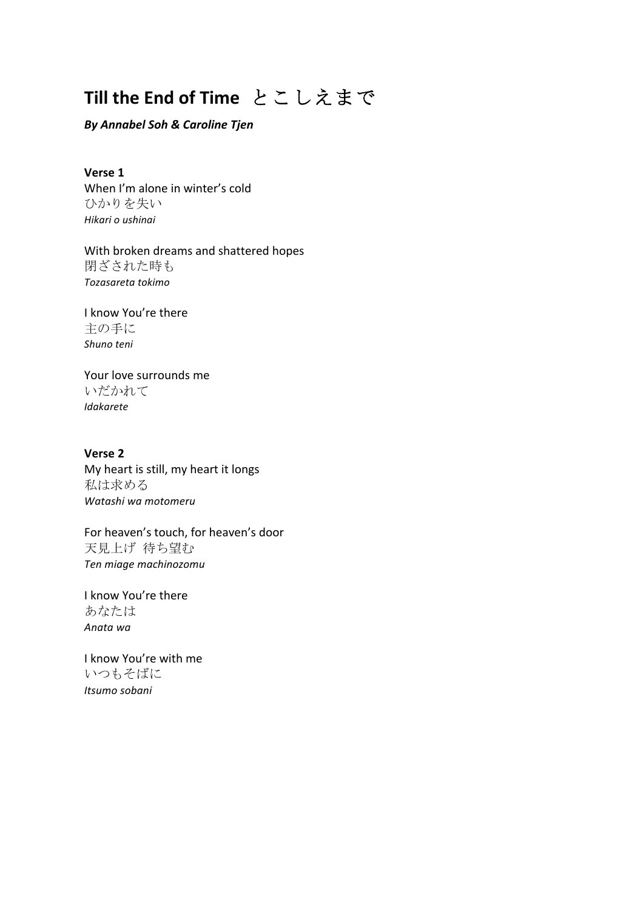## **Till the End of Time** とこしえまで

## *By Annabel Soh & Caroline Tjen*

**Verse 1** When I'm alone in winter's cold ひかりを失い *Hikari o ushinai*

With broken dreams and shattered hopes 閉ざされた時も *Tozasareta tokimo*

I know You're there 主の手に *Shuno teni* 

Your love surrounds me いだかれて *Idakarete*

**Verse 2** My heart is still, my heart it longs 私は求める *Watashi wa motomeru*

For heaven's touch, for heaven's door 天見上げ 待ち望む *Ten miage machinozomu*

I know You're there あなたは *Anata wa*

I know You're with me いつもそばに *Itsumo sobani*